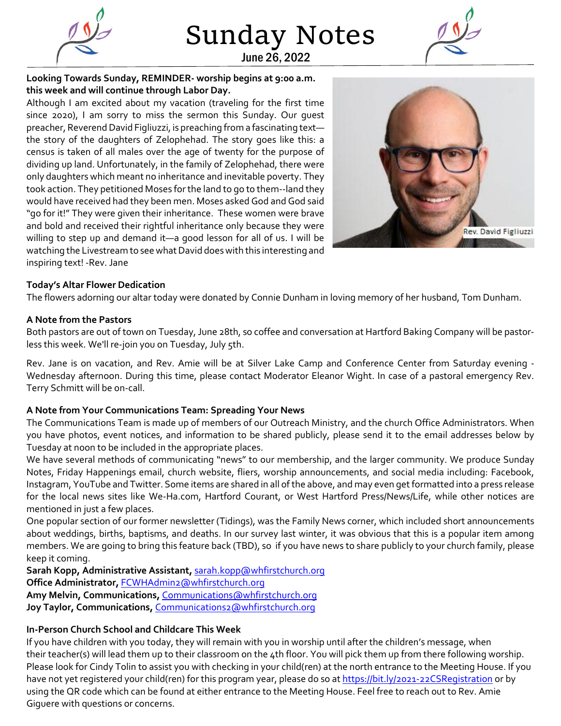

Sunday Notes June 26, 2022



**Looking Towards Sunday, REMINDER- worship begins at 9:00 a.m. this week and will continue through Labor Day.**

Although I am excited about my vacation (traveling for the first time since 2020), I am sorry to miss the sermon this Sunday. Our guest preacher, Reverend David Figliuzzi, is preaching from a fascinating text the story of the daughters of Zelophehad. The story goes like this: a census is taken of all males over the age of twenty for the purpose of dividing up land. Unfortunately, in the family of Zelophehad, there were only daughters which meant no inheritance and inevitable poverty. They took action. They petitioned Moses for the land to go to them--land they would have received had they been men. Moses asked God and God said "go for it!" They were given their inheritance. These women were brave and bold and received their rightful inheritance only because they were willing to step up and demand it—a good lesson for all of us. I will be watching the Livestream to see what David does with this interesting and inspiring text! -Rev. Jane



### **Today's Altar Flower Dedication**

The flowers adorning our altar today were donated by Connie Dunham in loving memory of her husband, Tom Dunham.

#### **A Note from the Pastors**

Both pastors are out of town on Tuesday, June 28th, so coffee and conversation at Hartford Baking Company will be pastorless this week. We'll re-join you on Tuesday, July 5th.

Rev. Jane is on vacation, and Rev. Amie will be at Silver Lake Camp and Conference Center from Saturday evening - Wednesday afternoon. During this time, please contact Moderator Eleanor Wight. In case of a pastoral emergency Rev. Terry Schmitt will be on-call.

#### **A Note from Your Communications Team: Spreading Your News**

The Communications Team is made up of members of our Outreach Ministry, and the church Office Administrators. When you have photos, event notices, and information to be shared publicly, please send it to the email addresses below by Tuesday at noon to be included in the appropriate places.

We have several methods of communicating "news" to our membership, and the larger community. We produce Sunday Notes, Friday Happenings email, church website, fliers, worship announcements, and social media including: Facebook, Instagram, YouTube and Twitter. Some items are shared in all of the above, and may even get formatted into a press release for the local news sites like We-Ha.com, Hartford Courant, or West Hartford Press/News/Life, while other notices are mentioned in just a few places.

One popular section of our former newsletter (Tidings), was the Family News corner, which included short announcements about weddings, births, baptisms, and deaths. In our survey last winter, it was obvious that this is a popular item among members. We are going to bring this feature back (TBD), so if you have news to share publicly to your church family, please keep it coming.

**Sarah Kopp, Administrative Assistant,** [sarah.kopp@whfirstchurch.org](mailto:sarah.kopp@whfirstchurch.org) **Office Administrator,** [FCWHAdmin2@whfirstchurch.org](mailto:FCWHAdmin2@whfirstchurch.org) **Amy Melvin, Communications,** [Communications@whfirstchurch.org](mailto:Communications@whfirstchurch.org) Joy Taylor, Communications, [Communications2@whfirstchurch.org](mailto:Communications2@whfirstchurch.org)

#### **In-Person Church School and Childcare This Week**

If you have children with you today, they will remain with you in worship until after the children's message, when their teacher(s) will lead them up to their classroom on the 4th floor. You will pick them up from there following worship. Please look for Cindy Tolin to assist you with checking in your child(ren) at the north entrance to the Meeting House. If you have not yet registered your child(ren) for this program year, please do so at<https://bit.ly/2021-22CSRegistration> or by using the QR code which can be found at either entrance to the Meeting House. Feel free to reach out to Rev. Amie Giguere with questions or concerns.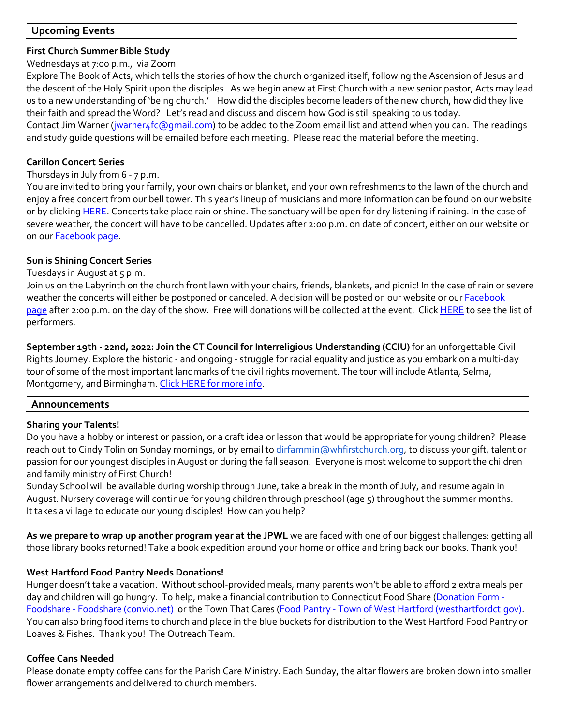# **Upcoming Events**

### **First Church Summer Bible Study**

#### Wednesdays at 7:00 p.m., via Zoom

Explore The Book of Acts, which tells the stories of how the church organized itself, following the Ascension of Jesus and the descent of the Holy Spirit upon the disciples. As we begin anew at First Church with a new senior pastor, Acts may lead us to a new understanding of 'being church.' How did the disciples become leaders of the new church, how did they live their faith and spread the Word? Let's read and discuss and discern how God is still speaking to us today. Contact Jim Warner [\(jwarner4fc@gmail.com\)](mailto:jwarner4fc@gmail.com) to be added to the Zoom email list and attend when you can. The readings and study guide questions will be emailed before each meeting. Please read the material before the meeting.

### **Carillon Concert Series**

### Thursdays in July from 6 - 7 p.m.

You are invited to bring your family, your own chairs or blanket, and your own refreshments to the lawn of the church and enjoy a free concert from our bell tower. This year's lineup of musicians and more information can be found on our website or by clickin[g HERE.](https://www.whfirstchurch.org/music/concerts/carillon-concerts/) Concerts take place rain or shine. The sanctuary will be open for dry listening if raining. In the case of severe weather, the concert will have to be cancelled. Updates after 2:00 p.m. on date of concert, either on our website or on our [Facebook page.](https://www.facebook.com/whfirstchurch)

### **Sun is Shining Concert Series**

## Tuesdays in August at 5 p.m.

Join us on the Labyrinth on the church front lawn with your chairs, friends, blankets, and picnic! In the case of rain or severe weather the concerts will either be postponed or canceled. A decision will be posted on our website or our **Facebook** [page](https://www.facebook.com/whfirstchurch) after 2:00 p.m. on the day of the show. Free will donations will be collected at the event. Click [HERE](https://www.whfirstchurch.org/music/concerts/sun-is-shining/) to see the list of performers.

**September 19th - 22nd, 2022: Join the CT Council for Interreligious Understanding (CCIU)** for an unforgettable Civil Rights Journey. Explore the historic - and ongoing - struggle for racial equality and justice as you embark on a multi-day tour of some of the most important landmarks of the civil rights movement. The tour will include Atlanta, Selma, Montgomery, and Birmingham. [Click HERE for more info.](https://ccfiu.org/)

## **Announcements**

## **Sharing your Talents!**

Do you have a hobby or interest or passion, or a craft idea or lesson that would be appropriate for young children? Please reach out to Cindy Tolin on Sunday mornings, or by email to [dirfammin@whfirstchurch.org,](mailto:dirfammin@whfirstchurch.org) to discuss your gift, talent or passion for our youngest disciples in August or during the fall season. Everyone is most welcome to support the children and family ministry of First Church!

Sunday School will be available during worship through June, take a break in the month of July, and resume again in August. Nursery coverage will continue for young children through preschool (age 5) throughout the summer months. It takes a village to educate our young disciples! How can you help?

**As we prepare to wrap up another program year at the JPWL** we are faced with one of our biggest challenges: getting all those library books returned! Take a book expedition around your home or office and bring back our books. Thank you!

## **West Hartford Food Pantry Needs Donations!**

Hunger doesn't take a vacation. Without school-provided meals, many parents won't be able to afford 2 extra meals per day and children will go hungry. To help, make a financial contribution to Connecticut Food Share [\(Donation Form -](https://secure3.convio.net/fdshr/site/Donation2?idb=0&df_id=9003&mfc_pref=T&9003.donation=form1) Foodshare - [Foodshare \(convio.net\)](https://secure3.convio.net/fdshr/site/Donation2?idb=0&df_id=9003&mfc_pref=T&9003.donation=form1) or the Town That Cares (Food Pantry - [Town of West Hartford \(westhartfordct.gov\).](https://www.westhartfordct.gov/town-departments/social-services/food-pantry) You can also bring food items to church and place in the blue buckets for distribution to the West Hartford Food Pantry or Loaves & Fishes. Thank you! The Outreach Team.

## **Coffee Cans Needed**

Please donate empty coffee cans for the Parish Care Ministry. Each Sunday, the altar flowers are broken down into smaller flower arrangements and delivered to church members.